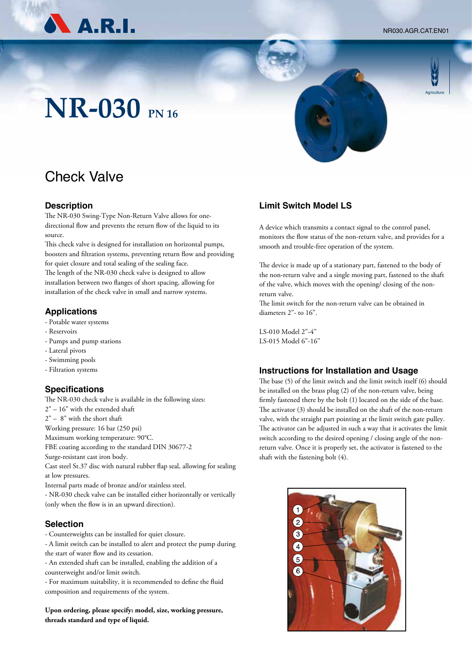NR030.AGR.CAT.EN01



# **Agriculture**

## **NR-030 PN 16**

### Check Valve

#### **Description**

The NR-030 Swing-Type Non-Return Valve allows for onedirectional flow and prevents the return flow of the liquid to its source.

This check valve is designed for installation on horizontal pumps, boosters and filtration systems, preventing return flow and providing for quiet closure and total sealing of the sealing face. The length of the NR-030 check valve is designed to allow installation between two flanges of short spacing, allowing for installation of the check valve in small and narrow systems.

#### **Applications**

- Potable water systems
- Reservoirs
- Pumps and pump stations
- Lateral pivots
- Swimming pools
- Filtration systems

#### **Specifications**

The NR-030 check valve is available in the following sizes: 2" – 16" with the extended shaft 2" – 8" with the short shaft Working pressure: 16 bar (250 psi) Maximum working temperature: 90°C. FBE coating according to the standard DIN 30677-2 Surge-resistant cast iron body. Cast steel St.37 disc with natural rubber flap seal, allowing for sealing at low pressures. Internal parts made of bronze and/or stainless steel. - NR-030 check valve can be installed either horizontally or vertically (only when the flow is in an upward direction).

#### **Selection**

- Counterweights can be installed for quiet closure.

- A limit switch can be installed to alert and protect the pump during the start of water flow and its cessation.

- An extended shaft can be installed, enabling the addition of a counterweight and/or limit switch.

- For maximum suitability, it is recommended to define the fluid composition and requirements of the system.

**Upon ordering, please specify: model, size, working pressure, threads standard and type of liquid.**

#### **Limit Switch Model LS**

A device which transmits a contact signal to the control panel, monitors the flow status of the non-return valve, and provides for a smooth and trouble-free operation of the system.

The device is made up of a stationary part, fastened to the body of the non-return valve and a single moving part, fastened to the shaft of the valve, which moves with the opening/ closing of the nonreturn valve.

The limit switch for the non-return valve can be obtained in diameters 2"- to 16".

LS-010 Model 2"-4" LS-015 Model 6"-16"

#### **Instructions for Installation and Usage**

The base (5) of the limit switch and the limit switch itself (6) should be installed on the brass plug (2) of the non-return valve, being firmly fastened there by the bolt (1) located on the side of the base. The activator (3) should be installed on the shaft of the non-return valve, with the straight part pointing at the limit switch gate pulley. The activator can be adjusted in such a way that it activates the limit switch according to the desired opening / closing angle of the nonreturn valve. Once it is properly set, the activator is fastened to the shaft with the fastening bolt (4).